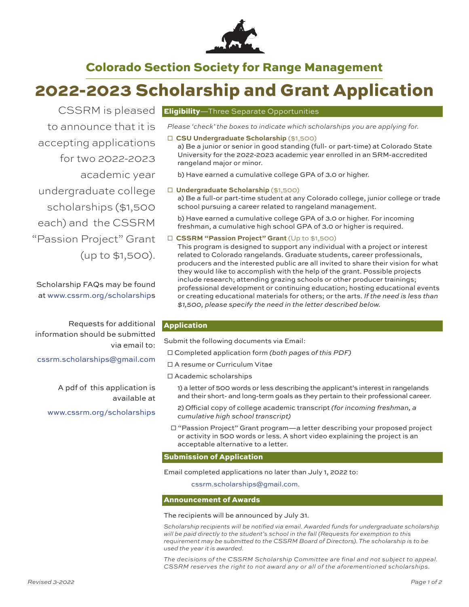

## Colorado Section Society for Range Management

# 2022-2023 Scholarship and Grant Application

to announce that it is accepting applications for two 2022-2023 academic year undergraduate college scholarships (\$1,500 each) and the CSSRM "Passion Project" Grant (up to \$1,500).

Scholarship FAQs may be found at www.cssrm.org/scholarships

Requests for additional information should be submitted via email to:

cssrm.scholarships@gmail.com

A pdf of this application is available at www.cssrm.org/scholarships

### CSSRM is pleased **Eligibility**—Three Separate Opportunities

*Please 'check' the boxes to indicate which scholarships you are applying for.*

□ **CSU Undergraduate Scholarship** (\$1,500) a) Be a junior or senior in good standing (full- or part-time) at Colorado State University for the 2022-2023 academic year enrolled in an SRM-accredited rangeland major or minor.

b) Have earned a cumulative college GPA of 3.0 or higher.

#### □ **Undergraduate Scholarship** (\$1,500)

a) Be a full-or part-time student at any Colorado college, junior college or trade school pursuing a career related to rangeland management.

b) Have earned a cumulative college GPA of 3.0 or higher. For incoming freshman, a cumulative high school GPA of 3.0 or higher is required.

#### □ **CSSRM "Passion Project" Grant** (Up to \$1,500)

This program is designed to support any individual with a project or interest related to Colorado rangelands. Graduate students, career professionals, producers and the interested public are all invited to share their vision for what they would like to accomplish with the help of the grant. Possible projects include research; attending grazing schools or other producer trainings; professional development or continuing education; hosting educational events or creating educational materials for others; or the arts. *If the need is less than \$1,500, please specify the need in the letter described below.*

#### Application

Submit the following documents via Email:

- □ Completed application form *(both pages of this PDF)*
- □ A resume or Curriculum Vitae
- □ Academic scholarships

1) a letter of 500 words or less describing the applicant's interest in rangelands and their short- and long-term goals as they pertain to their professional career.

- 2) Official copy of college academic transcript (for incoming freshman, a *cumulative high school transcript)*
- □ "Passion Project" Grant program—a letter describing your proposed project or activity in 500 words or less. A short video explaining the project is an acceptable alternative to a letter.

#### Submission of Application

Email completed applications no later than July 1, 2022 to:

cssrm.scholarships@gmail.com.

#### Announcement of Awards

#### The recipients will be announced by July 31.

Scholarship recipients will be notified via email. Awarded funds for undergraduate scholarship *will be paid directly to the student's school in the fall (Requests for exemption to this*  requirement may be submitted to the CSSRM Board of Directors). The scholarship is to be *used the year it is awarded.*

*The decisions of the CSSRM Scholarship Committee are final and not subject to appeal. CSSRM reserves the right to not award any or all of the aforementioned scholarships.*